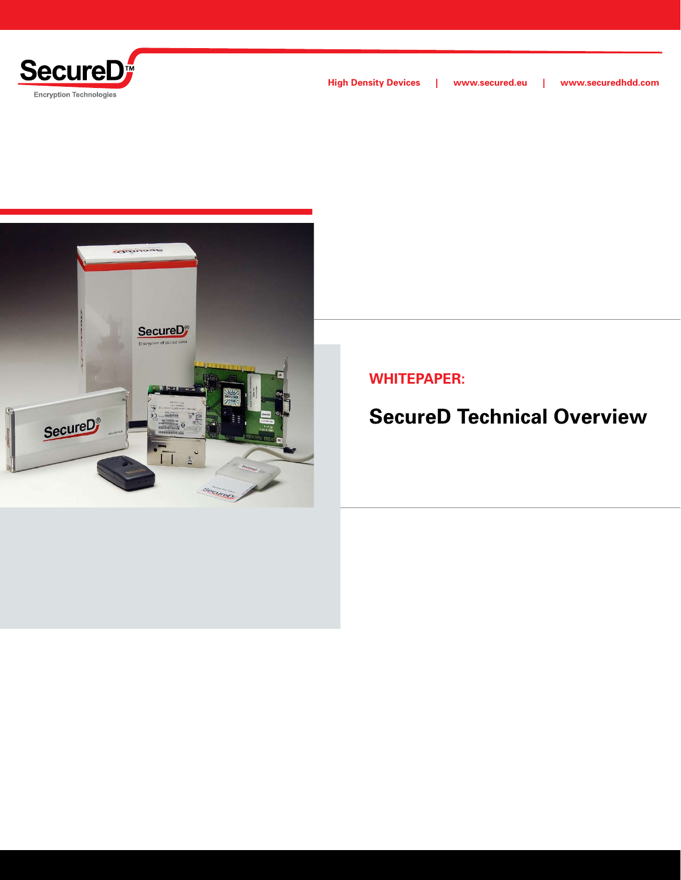



**WHITEPAPER:**

# **SecureD Technical Overview**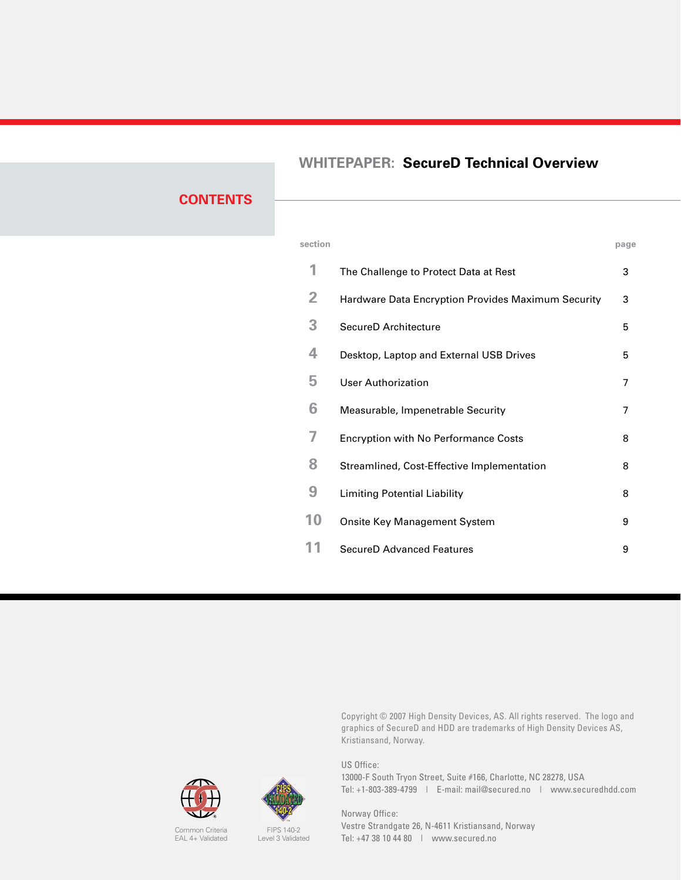### **WHITEPAPER: SecureD Technical Overview**

### **CONTENTS**

| section |                                                    | page |
|---------|----------------------------------------------------|------|
| 1       | The Challenge to Protect Data at Rest              | 3    |
| 2       | Hardware Data Encryption Provides Maximum Security | 3    |
| 3       | SecureD Architecture                               | 5    |
| 4       | Desktop, Laptop and External USB Drives            | 5    |
| 5       | <b>User Authorization</b>                          | 7    |
| 6       | Measurable, Impenetrable Security                  | 7    |
| 7       | <b>Encryption with No Performance Costs</b>        | 8    |
| 8       | Streamlined, Cost-Effective Implementation         | 8    |
| 9       | Limiting Potential Liability                       | 8    |
| 10      | <b>Onsite Key Management System</b>                | 9    |
| 1       | SecureD Advanced Features                          | 9    |
|         |                                                    |      |

Copyright © 2007 High Density Devices, AS. All rights reserved. The logo and graphics of SecureD and HDD are trademarks of High Density Devices AS, Kristiansand, Norway.

US Office: 13000-F South Tryon Street, Suite #166, Charlotte, NC 28278, USA Tel: +1-803-389-4799 | E-mail: mail@secured.no | www.securedhdd.com

Norway Office: Vestre Strandgate 26, N-4611 Kristiansand, Norway Tel: +47 38 10 44 80 | www.secured.no



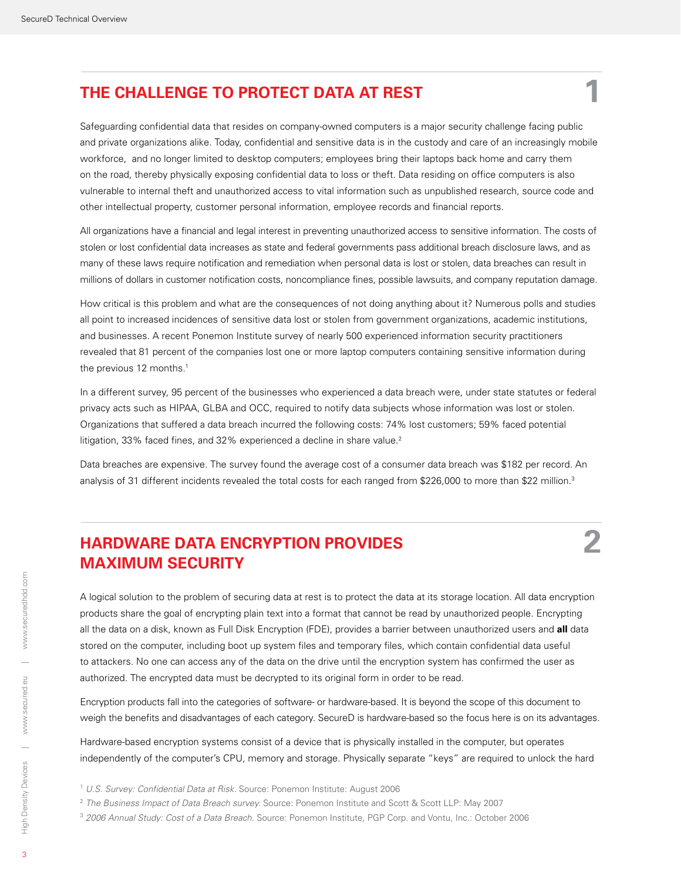### **THE CHALLENGE TO PROTECT DATA AT REST 1**

Safeguarding confidential data that resides on company-owned computers is a major security challenge facing public and private organizations alike. Today, confidential and sensitive data is in the custody and care of an increasingly mobile workforce, and no longer limited to desktop computers; employees bring their laptops back home and carry them on the road, thereby physically exposing confidential data to loss or theft. Data residing on office computers is also vulnerable to internal theft and unauthorized access to vital information such as unpublished research, source code and other intellectual property, customer personal information, employee records and financial reports.

All organizations have a financial and legal interest in preventing unauthorized access to sensitive information. The costs of stolen or lost confidential data increases as state and federal governments pass additional breach disclosure laws, and as many of these laws require notification and remediation when personal data is lost or stolen, data breaches can result in millions of dollars in customer notification costs, noncompliance fines, possible lawsuits, and company reputation damage.

How critical is this problem and what are the consequences of not doing anything about it? Numerous polls and studies all point to increased incidences of sensitive data lost or stolen from government organizations, academic institutions, and businesses. A recent Ponemon Institute survey of nearly 500 experienced information security practitioners revealed that 81 percent of the companies lost one or more laptop computers containing sensitive information during the previous 12 months.<sup>1</sup>

In a different survey, 95 percent of the businesses who experienced a data breach were, under state statutes or federal privacy acts such as HIPAA, GLBA and OCC, required to notify data subjects whose information was lost or stolen. Organizations that suffered a data breach incurred the following costs: 74% lost customers; 59% faced potential litigation, 33% faced fines, and 32% experienced a decline in share value.<sup>2</sup>

Data breaches are expensive. The survey found the average cost of a consumer data breach was \$182 per record. An analysis of 31 different incidents revealed the total costs for each ranged from \$226,000 to more than \$22 million.3

### **HARDWARE DATA ENCRYPTION PROVIDES 2 MAXIMUM SECURITY**

A logical solution to the problem of securing data at rest is to protect the data at its storage location. All data encryption products share the goal of encrypting plain text into a format that cannot be read by unauthorized people. Encrypting all the data on a disk, known as Full Disk Encryption (FDE), provides a barrier between unauthorized users and **all** data stored on the computer, including boot up system files and temporary files, which contain confidential data useful to attackers. No one can access any of the data on the drive until the encryption system has confirmed the user as authorized. The encrypted data must be decrypted to its original form in order to be read.

Encryption products fall into the categories of software- or hardware-based. It is beyond the scope of this document to weigh the benefits and disadvantages of each category. SecureD is hardware-based so the focus here is on its advantages.

Hardware-based encryption systems consist of a device that is physically installed in the computer, but operates independently of the computer's CPU, memory and storage. Physically separate "keys" are required to unlock the hard

- <sup>1</sup> *U.S. Survey: Confidential Data at Risk.* Source: Ponemon Institute: August 2006
- <sup>2</sup> *The Business Impact of Data Breach survey.* Source: Ponemon Institute and Scott & Scott LLP: May 2007
- <sup>3</sup> *2006 Annual Study: Cost of a Data Breach.* Source: Ponemon Institute, PGP Corp. and Vontu, Inc.: October 2006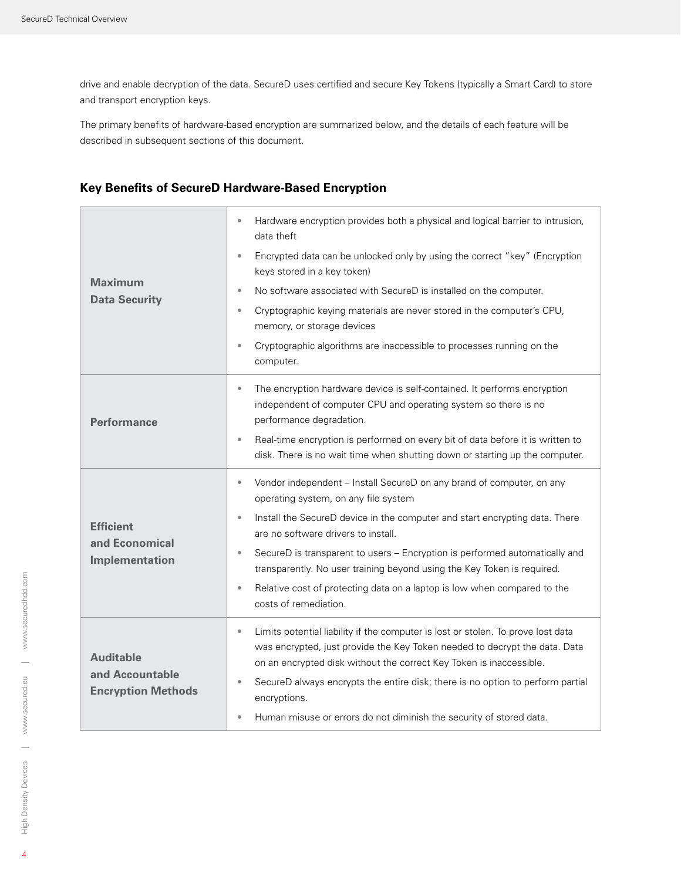drive and enable decryption of the data. SecureD uses certified and secure Key Tokens (typically a Smart Card) to store and transport encryption keys.

The primary benefits of hardware-based encryption are summarized below, and the details of each feature will be described in subsequent sections of this document.

| <b>Maximum</b><br><b>Data Security</b>                           | Hardware encryption provides both a physical and logical barrier to intrusion,<br>$\bullet$<br>data theft<br>Encrypted data can be unlocked only by using the correct "key" (Encryption<br>$\bullet$<br>keys stored in a key token)<br>No software associated with SecureD is installed on the computer.<br>$\bullet$<br>Cryptographic keying materials are never stored in the computer's CPU,<br>$\bullet$<br>memory, or storage devices<br>Cryptographic algorithms are inaccessible to processes running on the<br>$\bullet$<br>computer.  |
|------------------------------------------------------------------|------------------------------------------------------------------------------------------------------------------------------------------------------------------------------------------------------------------------------------------------------------------------------------------------------------------------------------------------------------------------------------------------------------------------------------------------------------------------------------------------------------------------------------------------|
| <b>Performance</b>                                               | The encryption hardware device is self-contained. It performs encryption<br>۰<br>independent of computer CPU and operating system so there is no<br>performance degradation.<br>Real-time encryption is performed on every bit of data before it is written to<br>$\bullet$<br>disk. There is no wait time when shutting down or starting up the computer.                                                                                                                                                                                     |
| <b>Efficient</b><br>and Economical<br>Implementation             | Vendor independent - Install SecureD on any brand of computer, on any<br>۰<br>operating system, on any file system<br>Install the SecureD device in the computer and start encrypting data. There<br>$\bullet$<br>are no software drivers to install.<br>SecureD is transparent to users - Encryption is performed automatically and<br>$\bullet$<br>transparently. No user training beyond using the Key Token is required.<br>Relative cost of protecting data on a laptop is low when compared to the<br>$\bullet$<br>costs of remediation. |
| <b>Auditable</b><br>and Accountable<br><b>Encryption Methods</b> | Limits potential liability if the computer is lost or stolen. To prove lost data<br>$\bullet$<br>was encrypted, just provide the Key Token needed to decrypt the data. Data<br>on an encrypted disk without the correct Key Token is inaccessible.<br>SecureD always encrypts the entire disk; there is no option to perform partial<br>$\qquad \qquad \bullet$<br>encryptions.<br>Human misuse or errors do not diminish the security of stored data.<br>$\qquad \qquad \bullet$                                                              |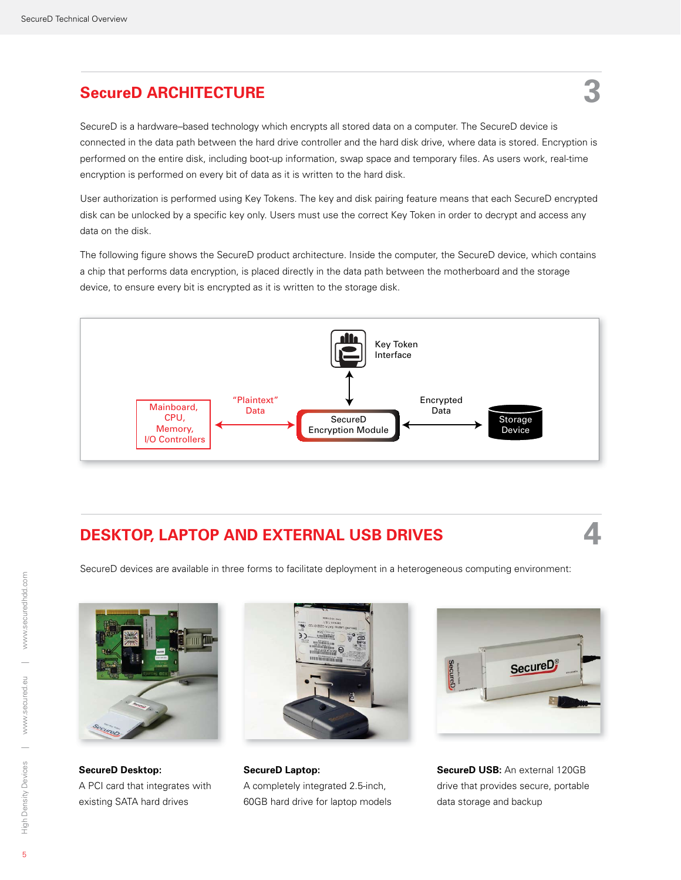## **SecureD ARCHITECTURE 3**

SecureD is a hardware–based technology which encrypts all stored data on a computer. The SecureD device is connected in the data path between the hard drive controller and the hard disk drive, where data is stored. Encryption is performed on the entire disk, including boot-up information, swap space and temporary files. As users work, real-time encryption is performed on every bit of data as it is written to the hard disk.

User authorization is performed using Key Tokens. The key and disk pairing feature means that each SecureD encrypted disk can be unlocked by a specific key only. Users must use the correct Key Token in order to decrypt and access any data on the disk.

The following figure shows the SecureD product architecture. Inside the computer, the SecureD device, which contains a chip that performs data encryption, is placed directly in the data path between the motherboard and the storage device, to ensure every bit is encrypted as it is written to the storage disk.



### **DESKTOP, LAPTOP AND EXTERNAL USB DRIVES 4**

SecureD devices are available in three forms to facilitate deployment in a heterogeneous computing environment:



**SecureD Desktop:**  A PCI card that integrates with existing SATA hard drives



**SecureD Laptop:** A completely integrated 2.5-inch, 60GB hard drive for laptop models



**SecureD USB:** An external 120GB drive that provides secure, portable data storage and backup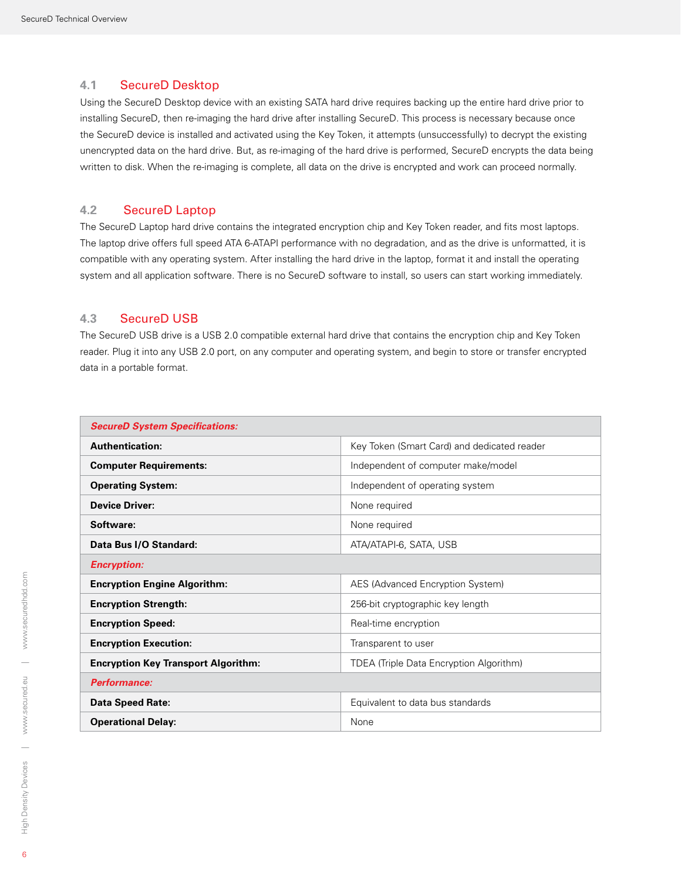#### **4.1** SecureD Desktop

Using the SecureD Desktop device with an existing SATA hard drive requires backing up the entire hard drive prior to installing SecureD, then re-imaging the hard drive after installing SecureD. This process is necessary because once the SecureD device is installed and activated using the Key Token, it attempts (unsuccessfully) to decrypt the existing unencrypted data on the hard drive. But, as re-imaging of the hard drive is performed, SecureD encrypts the data being written to disk. When the re-imaging is complete, all data on the drive is encrypted and work can proceed normally.

#### **4.2** SecureD Laptop

The SecureD Laptop hard drive contains the integrated encryption chip and Key Token reader, and fits most laptops. The laptop drive offers full speed ATA 6-ATAPI performance with no degradation, and as the drive is unformatted, it is compatible with any operating system. After installing the hard drive in the laptop, format it and install the operating system and all application software. There is no SecureD software to install, so users can start working immediately.

#### **4.3** SecureD USB

The SecureD USB drive is a USB 2.0 compatible external hard drive that contains the encryption chip and Key Token reader. Plug it into any USB 2.0 port, on any computer and operating system, and begin to store or transfer encrypted data in a portable format.

| <b>SecureD System Specifications:</b>      |                                             |  |  |
|--------------------------------------------|---------------------------------------------|--|--|
| <b>Authentication:</b>                     | Key Token (Smart Card) and dedicated reader |  |  |
| <b>Computer Requirements:</b>              | Independent of computer make/model          |  |  |
| <b>Operating System:</b>                   | Independent of operating system             |  |  |
| <b>Device Driver:</b>                      | None required                               |  |  |
| Software:                                  | None required                               |  |  |
| Data Bus I/O Standard:                     | ATA/ATAPI-6, SATA, USB                      |  |  |
| <b>Encryption:</b>                         |                                             |  |  |
| <b>Encryption Engine Algorithm:</b>        | AES (Advanced Encryption System)            |  |  |
| <b>Encryption Strength:</b>                | 256-bit cryptographic key length            |  |  |
| <b>Encryption Speed:</b>                   | Real-time encryption                        |  |  |
| <b>Encryption Execution:</b>               | Transparent to user                         |  |  |
| <b>Encryption Key Transport Algorithm:</b> | TDEA (Triple Data Encryption Algorithm)     |  |  |
| Performance:                               |                                             |  |  |
| <b>Data Speed Rate:</b>                    | Equivalent to data bus standards            |  |  |
| <b>Operational Delay:</b>                  | None                                        |  |  |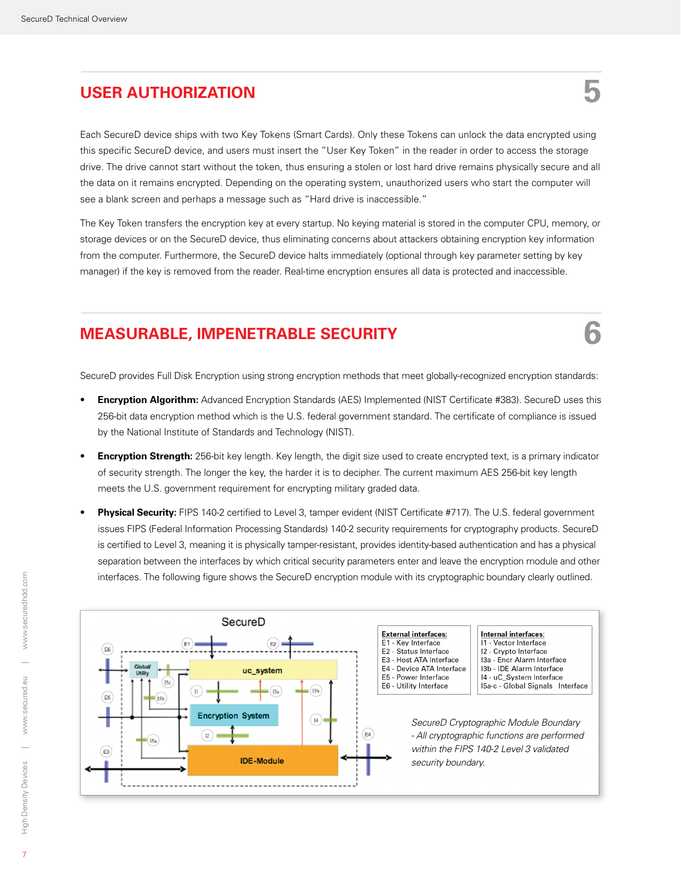## **USER AUTHORIZATION 5**

Each SecureD device ships with two Key Tokens (Smart Cards). Only these Tokens can unlock the data encrypted using this specific SecureD device, and users must insert the "User Key Token" in the reader in order to access the storage drive. The drive cannot start without the token, thus ensuring a stolen or lost hard drive remains physically secure and all the data on it remains encrypted. Depending on the operating system, unauthorized users who start the computer will see a blank screen and perhaps a message such as "Hard drive is inaccessible."

The Key Token transfers the encryption key at every startup. No keying material is stored in the computer CPU, memory, or storage devices or on the SecureD device, thus eliminating concerns about attackers obtaining encryption key information from the computer. Furthermore, the SecureD device halts immediately (optional through key parameter setting by key manager) if the key is removed from the reader. Real-time encryption ensures all data is protected and inaccessible.

### **MEASURABLE, IMPENETRABLE SECURITY 6**

SecureD provides Full Disk Encryption using strong encryption methods that meet globally-recognized encryption standards:

- **Encryption Algorithm:** Advanced Encryption Standards (AES) Implemented (NIST Certificate #383). SecureD uses this 256-bit data encryption method which is the U.S. federal government standard. The certificate of compliance is issued by the National Institute of Standards and Technology (NIST).
- **Encryption Strength:** 256-bit key length. Key length, the digit size used to create encrypted text, is a primary indicator of security strength. The longer the key, the harder it is to decipher. The current maximum AES 256-bit key length meets the U.S. government requirement for encrypting military graded data.
- Physical Security: FIPS 140-2 certified to Level 3, tamper evident (NIST Certificate #717). The U.S. federal government issues FIPS (Federal Information Processing Standards) 140-2 security requirements for cryptography products. SecureD is certified to Level 3, meaning it is physically tamper-resistant, provides identity-based authentication and has a physical separation between the interfaces by which critical security parameters enter and leave the encryption module and other interfaces. The following figure shows the SecureD encryption module with its cryptographic boundary clearly outlined.

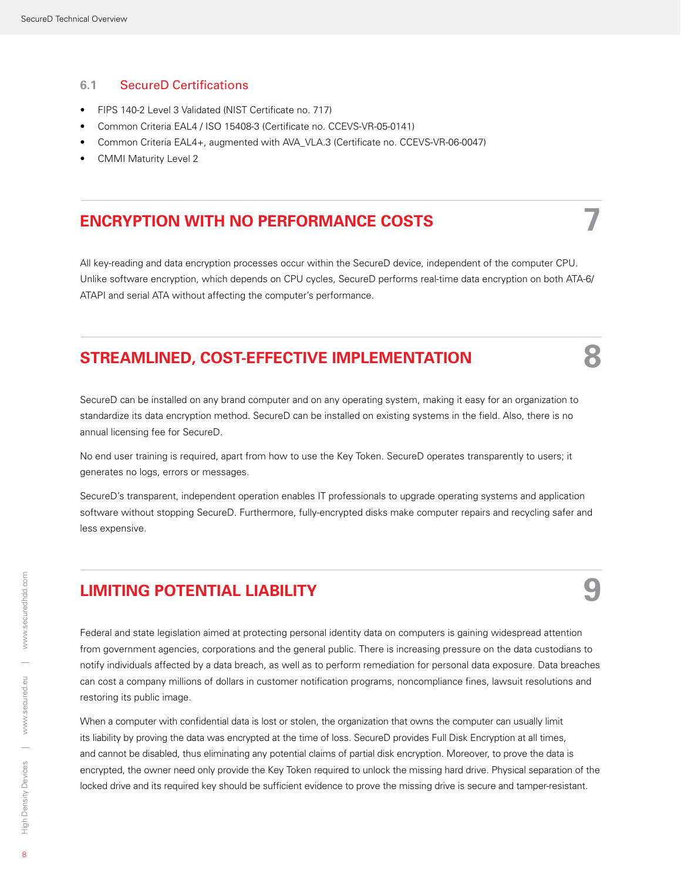#### **6.1** SecureD Certifications

- FIPS 140-2 Level 3 Validated (NIST Certificate no. 717)
- Common Criteria EAL4 / ISO 15408-3 (Certificate no. CCEVS-VR-05-0141)
- Common Criteria EAL4+, augmented with AVA\_VLA.3 (Certificate no. CCEVS-VR-06-0047)
- **CMMI Maturity Level 2**

### **Encryption with No Performance Costs 7**

All key-reading and data encryption processes occur within the SecureD device, independent of the computer CPU. Unlike software encryption, which depends on CPU cycles, SecureD performs real-time data encryption on both ATA-6/ ATAPI and serial ATA without affecting the computer's performance.

### **STREAMLINED, COST-EFFECTIVE IMPLEMENTATION 8**

SecureD can be installed on any brand computer and on any operating system, making it easy for an organization to standardize its data encryption method. SecureD can be installed on existing systems in the field. Also, there is no annual licensing fee for SecureD.

No end user training is required, apart from how to use the Key Token. SecureD operates transparently to users; it generates no logs, errors or messages.

SecureD's transparent, independent operation enables IT professionals to upgrade operating systems and application software without stopping SecureD. Furthermore, fully-encrypted disks make computer repairs and recycling safer and less expensive.

### **LIMITING POTENTIAL LIABILITY 9**

Federal and state legislation aimed at protecting personal identity data on computers is gaining widespread attention from government agencies, corporations and the general public. There is increasing pressure on the data custodians to notify individuals affected by a data breach, as well as to perform remediation for personal data exposure. Data breaches can cost a company millions of dollars in customer notification programs, noncompliance fines, lawsuit resolutions and restoring its public image.

When a computer with confidential data is lost or stolen, the organization that owns the computer can usually limit its liability by proving the data was encrypted at the time of loss. SecureD provides Full Disk Encryption at all times, and cannot be disabled, thus eliminating any potential claims of partial disk encryption. Moreover, to prove the data is encrypted, the owner need only provide the Key Token required to unlock the missing hard drive. Physical separation of the locked drive and its required key should be sufficient evidence to prove the missing drive is secure and tamper-resistant.